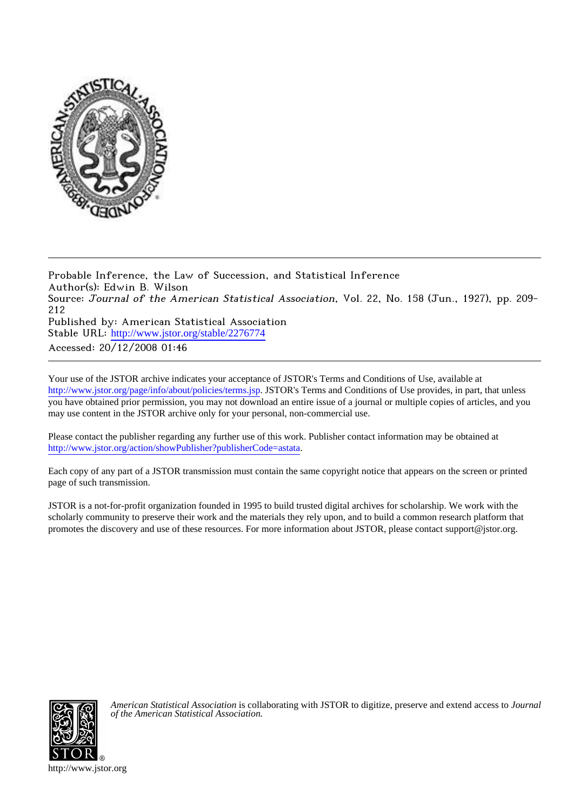

Probable Inference, the Law of Succession, and Statistical Inference Author(s): Edwin B. Wilson Source: Journal of the American Statistical Association, Vol. 22, No. 158 (Jun., 1927), pp. 209-212 Published by: American Statistical Association Stable URL: [http://www.jstor.org/stable/2276774](http://www.jstor.org/stable/2276774?origin=JSTOR-pdf) Accessed: 20/12/2008 01:46

Your use of the JSTOR archive indicates your acceptance of JSTOR's Terms and Conditions of Use, available at <http://www.jstor.org/page/info/about/policies/terms.jsp>. JSTOR's Terms and Conditions of Use provides, in part, that unless you have obtained prior permission, you may not download an entire issue of a journal or multiple copies of articles, and you may use content in the JSTOR archive only for your personal, non-commercial use.

Please contact the publisher regarding any further use of this work. Publisher contact information may be obtained at [http://www.jstor.org/action/showPublisher?publisherCode=astata.](http://www.jstor.org/action/showPublisher?publisherCode=astata)

Each copy of any part of a JSTOR transmission must contain the same copyright notice that appears on the screen or printed page of such transmission.

JSTOR is a not-for-profit organization founded in 1995 to build trusted digital archives for scholarship. We work with the scholarly community to preserve their work and the materials they rely upon, and to build a common research platform that promotes the discovery and use of these resources. For more information about JSTOR, please contact support@jstor.org.



*American Statistical Association* is collaborating with JSTOR to digitize, preserve and extend access to *Journal of the American Statistical Association.*

http://www.jstor.org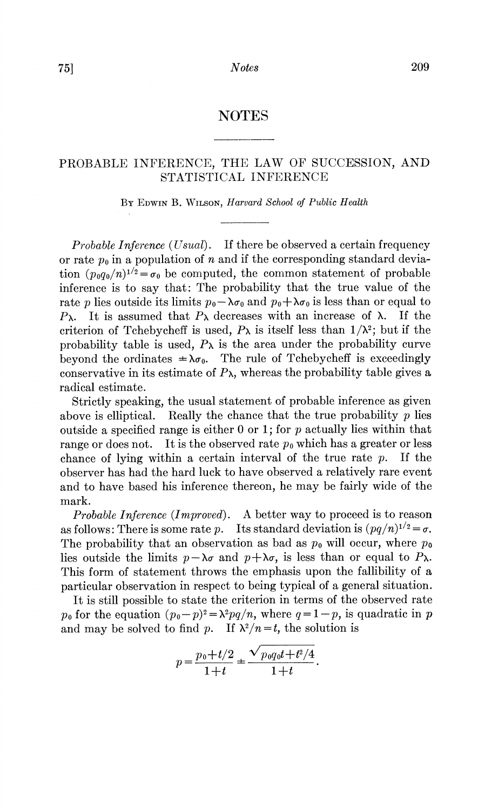## PROBABLE INFERENCE, THE LAW OF SUCCESSION, AND STATISTICAL INFERENCE

BY EDWIN B. WILSON, Harvard School of Public Health

Probable Inference (Usual). If there be observed a certain frequency or rate  $p_0$  in a population of *n* and if the corresponding standard deviation  $(p_0q_0/n)^{1/2} = \sigma_0$  be computed, the common statement of probable inference is to say that: The probability that the true value of the rate p lies outside its limits  $p_0 - \lambda \sigma_0$  and  $p_0 + \lambda \sigma_0$  is less than or equal to  $P_{\lambda}$ . It is assumed that  $P_{\lambda}$  decreases with an increase of  $\lambda$ . If the criterion of Tchebycheff is used,  $P_{\lambda}$  is itself less than  $1/\lambda^2$ ; but if the probability table is used,  $P_{\lambda}$  is the area under the probability curve beyond the ordinates  $\pm \lambda \sigma_0$ . The rule of Tchebycheff is exceedingly conservative in its estimate of  $P_{\lambda}$ , whereas the probability table gives a radical estimate.

Strictly speaking, the usual statement of probable inference as given above is elliptical. Really the chance that the true probability  $p$  lies outside a specified range is either 0 or 1; for  $p$  actually lies within that range or does not. It is the observed rate  $p_0$  which has a greater or less chance of lying within a certain interval of the true rate  $p$ .  $\quad$  If the observer has had the hard luck to have observed a relatively rare event and to have based his inference thereon, he may be fairly wide of the mark.

*Probable Inference (Improved).* A better way to proceed is to reason as follows: There is some rate p. Its standard deviation is  $(pq/n)^{1/2} = \sigma$ . The probability that an observation as bad as  $p_0$  will occur, where  $p_0$ lies outside the limits  $p-\lambda\sigma$  and  $p+\lambda\sigma$ , is less than or equal to  $P_{\lambda}$ . This form of statement throws the emphasis upon the fallibility of a particular observation in respect to being typical of a general situation.

It is still possible to state the criterion in terms of the observed rate  $p_0$  for the equation  $(p_0-p)^2 = \lambda^2 pq/n$ , where  $q=1-p$ , is quadratic in p and may be solved to find p. If  $\lambda^2/n = t$ , the solution is

$$
p = \frac{p_0 + t/2}{1+t} = \frac{\sqrt{p_0 q_0 t + t^2/4}}{1+t}.
$$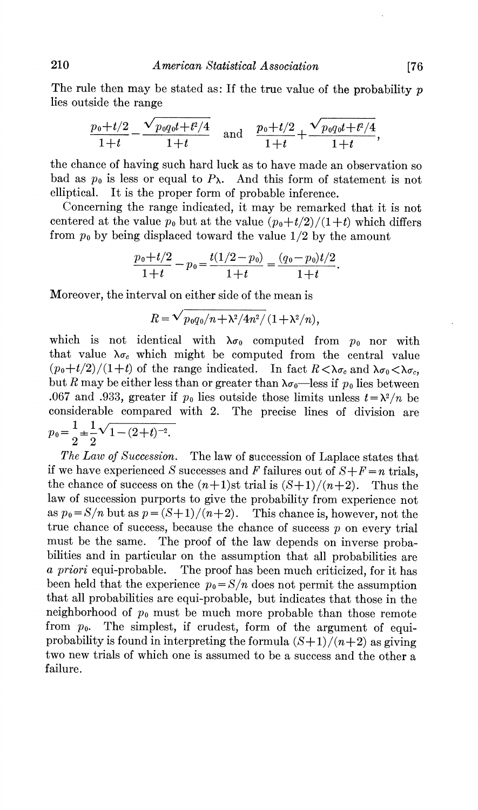The rule then may be stated as: If the true value of the probability  $p$ lies outside the range

$$
\frac{p_0+t/2}{1+t} - \frac{\sqrt{p_0q_0t+t^2/4}}{1+t} \quad \text{and} \quad \frac{p_0+t/2}{1+t} + \frac{\sqrt{p_0q_0t+t^2/4}}{1+t}.
$$

the chance of having such hard luck as to have made an observation so bad as  $p_0$  is less or equal to  $P_\lambda$ . And this form of statement is not elliptical. It is the proper form of probable inference.

Concerning the range indicated, it may be remarked that it is not centered at the value  $p_0$  but at the value  $(p_0+t/2)/(1+t)$  which differs from  $p_0$  by being displaced toward the value  $1/2$  by the amount

$$
\frac{p_0+t/2}{1+t}-p_0=\frac{t(1/2-p_0)}{1+t}=\frac{(q_0-p_0)t/2}{1+t}.
$$

Moreover, the interval on either side of the mean is

$$
R = \sqrt{p_0 q_0/n + \lambda^2/4n^2/(1+\lambda^2/n)},
$$

which is not identical with  $\lambda \sigma_0$  computed from  $p_0$  nor with that value  $\lambda \sigma_c$  which might be computed from the central value  $(p_0+t/2)/(1+t)$  of the range indicated. In fact  $R<\lambda\sigma_c$  and  $\lambda\sigma_0<\lambda\sigma_c$ . but R may be either less than or greater than  $\lambda \sigma_0$ —less if  $p_0$  lies between .067 and .933, greater if  $p_0$  lies outside those limits unless  $t = \lambda^2/n$  be considerable compared with 2. The precise lines of division are  $p_0 = \frac{1}{2} \pm \frac{1}{2} \sqrt{1 - (2 + t)^{-2}}.$ 

The Law of Succession. The law of succession of Laplace states that if we have experienced S successes and F failures out of  $S + F = n$  trials. the chance of success on the  $(n+1)$ st trial is  $(S+1)/(n+2)$ . Thus the law of succession purports to give the probability from experience not as  $p_0 = S/n$  but as  $p = (S+1)/(n+2)$ . This chance is, however, not the true chance of success, because the chance of success  $p$  on every trial must be the same. The proof of the law depends on inverse probabilities and in particular on the assumption that all probabilities are *a priori* equi-probable. The proof has been much criticized, for it has been held that the experience  $p_0 = S/n$  does not permit the assumption that all probabilities are equi-probable, but indicates that those in the neighborhood of  $p_0$  must be much more probable than those remote from  $p_0$ . The simplest, if crudest, form of the argument of equiprobability is found in interpreting the formula  $(S+1)/(n+2)$  as giving two new trials of which one is assumed to be a success and the other a failure.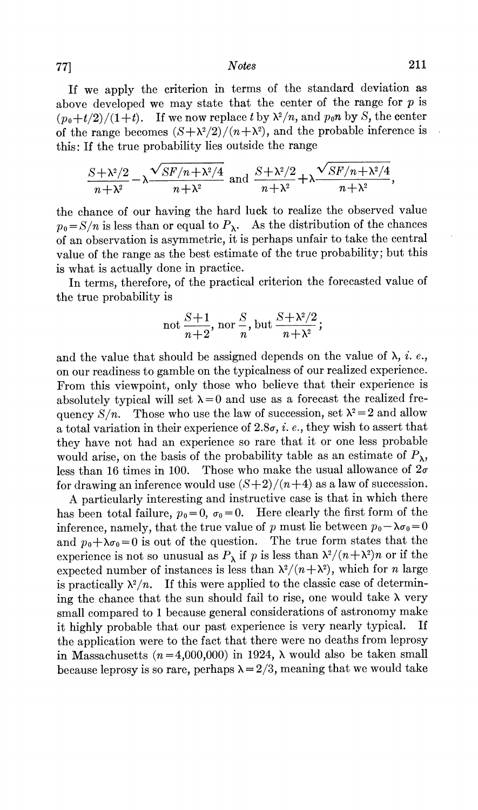## **Notes**

If we apply the criterion in terms of the standard deviation as above developed we may state that the center of the range for  $p$  is  $(p_0+t/2)/(1+t)$ . If we now replace t by  $\lambda^2/n$ , and  $p_0n$  by S, the center of the range becomes  $(S + \lambda^2/2)/(n + \lambda^2)$ , and the probable inference is this: If the true probability lies outside the range

$$
\frac{S + \lambda^2/2}{n + \lambda^2} - \lambda \frac{\sqrt{SF/n + \lambda^2/4}}{n + \lambda^2}
$$
 and 
$$
\frac{S + \lambda^2/2}{n + \lambda^2} + \lambda \frac{\sqrt{SF/n + \lambda^2/4}}{n + \lambda^2}
$$
,

the chance of our having the hard luck to realize the observed value  $p_0 = S/n$  is less than or equal to  $P_\lambda$ . As the distribution of the chances of an observation is asymmetric, it is perhaps unfair to take the central value of the range as the best estimate of the true probability; but this is what is actually done in practice.

In terms, therefore, of the practical criterion the forecasted value of the true probability is

not 
$$
\frac{S+1}{n+2}
$$
, nor  $\frac{S}{n}$ , but  $\frac{S+\lambda^2/2}{n+\lambda^2}$ ;

and the value that should be assigned depends on the value of  $\lambda$ , *i. e.*, on our readiness to gamble on the typicalness of our realized experience. From this viewpoint, only those who believe that their experience is absolutely typical will set  $\lambda = 0$  and use as a forecast the realized fre-Those who use the law of succession, set  $\lambda^2 = 2$  and allow quency  $S/n$ . a total variation in their experience of  $2.8\sigma$ , *i.e.*, they wish to assert that they have not had an experience so rare that it or one less probable would arise, on the basis of the probability table as an estimate of  $P_{\lambda}$ , less than 16 times in 100. Those who make the usual allowance of  $2\sigma$ for drawing an inference would use  $(S+2)/(n+4)$  as a law of succession.

A particularly interesting and instructive case is that in which there has been total failure,  $p_0 = 0$ ,  $\sigma_0 = 0$ . Here clearly the first form of the inference, namely, that the true value of p must lie between  $p_0 - \lambda \sigma_0 = 0$ and  $p_0 + \lambda \sigma_0 = 0$  is out of the question. The true form states that the experience is not so unusual as  $P_{\lambda}$  if p is less than  $\lambda^2/(n+\lambda^2)n$  or if the expected number of instances is less than  $\lambda^2/(n+\lambda^2)$ , which for *n* large If this were applied to the classic case of determinis practically  $\lambda^2/n$ . ing the chance that the sun should fail to rise, one would take  $\lambda$  very small compared to 1 because general considerations of astronomy make it highly probable that our past experience is very nearly typical. If the application were to the fact that there were no deaths from leprosy in Massachusetts ( $n=4,000,000$ ) in 1924,  $\lambda$  would also be taken small because leprosy is so rare, perhaps  $\lambda = 2/3$ , meaning that we would take